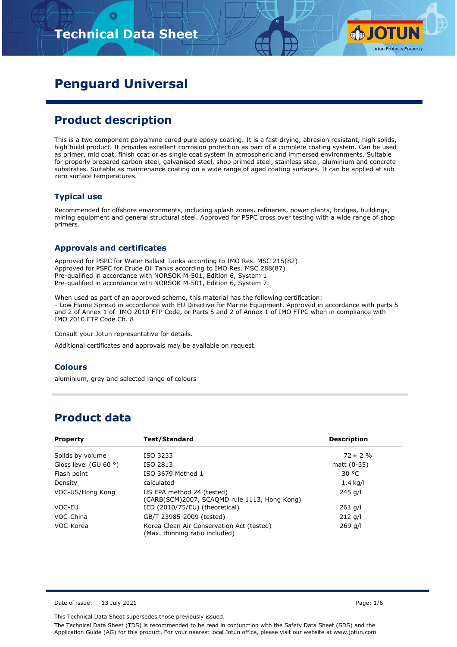# **Technical Data Sheet**



# **Penguard Universal**

### **Product description**

This is a two component polyamine cured pure epoxy coating. It is a fast drying, abrasion resistant, high solids, high build product. It provides excellent corrosion protection as part of a complete coating system. Can be used as primer, mid coat, finish coat or as single coat system in atmospheric and immersed environments. Suitable for properly prepared carbon steel, galvanised steel, shop primed steel, stainless steel, aluminium and concrete substrates. Suitable as maintenance coating on a wide range of aged coating surfaces. It can be applied at sub zero surface temperatures.

#### **Typical use**

Recommended for offshore environments, including splash zones, refineries, power plants, bridges, buildings, mining equipment and general structural steel. Approved for PSPC cross over testing with a wide range of shop primers.

#### **Approvals and certificates**

Approved for PSPC for Water Ballast Tanks according to IMO Res. MSC 215(82) Approved for PSPC for Crude Oil Tanks according to IMO Res. MSC 288(87) Pre-qualified in accordance with NORSOK M-501, Edition 6, System 1 Pre-qualified in accordance with NORSOK M-501, Edition 6, System 7.

When used as part of an approved scheme, this material has the following certification: - Low Flame Spread in accordance with EU Directive for Marine Equipment. Approved in accordance with parts 5 and 2 of Annex 1 of IMO 2010 FTP Code, or Parts 5 and 2 of Annex 1 of IMO FTPC when in compliance with IMO 2010 FTP Code Ch. 8

Consult your Jotun representative for details.

Additional certificates and approvals may be available on request.

#### **Colours**

aluminium, grey and selected range of colours

### **Product data**

| <b>Property</b>                | Test/Standard                                                               | <b>Description</b> |
|--------------------------------|-----------------------------------------------------------------------------|--------------------|
| Solids by volume               | ISO 3233                                                                    | $72 \pm 2 \%$      |
| Gloss level (GU 60 $\degree$ ) | ISO 2813                                                                    | matt $(0-35)$      |
| Flash point                    | ISO 3679 Method 1                                                           | 30 °C              |
| Density                        | calculated                                                                  | $1.4$ kg/l         |
| VOC-US/Hong Kong               | US EPA method 24 (tested)<br>(CARB(SCM)2007, SCAQMD rule 1113, Hong Kong)   | 245 g/l            |
| VOC-EU                         | IED (2010/75/EU) (theoretical)                                              | $261$ g/l          |
| VOC-China                      | GB/T 23985-2009 (tested)                                                    | $212$ g/l          |
| VOC-Korea                      | Korea Clean Air Conservation Act (tested)<br>(Max. thinning ratio included) | $269$ g/l          |

Date of issue: 13 July 2021 **Page: 1/6** 

This Technical Data Sheet supersedes those previously issued.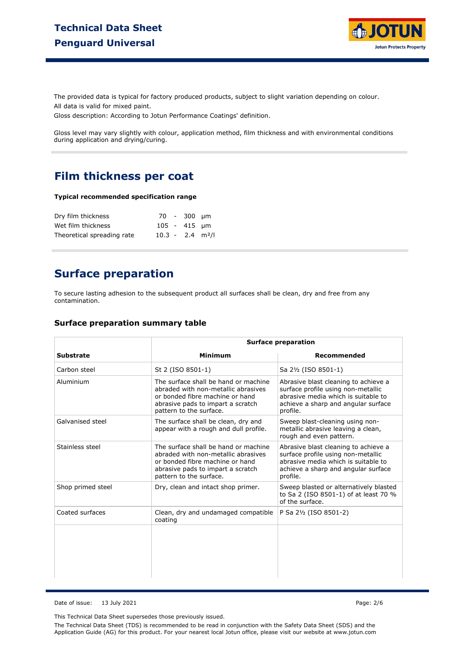

The provided data is typical for factory produced products, subject to slight variation depending on colour. All data is valid for mixed paint.

Gloss description: According to Jotun Performance Coatings' definition.

Gloss level may vary slightly with colour, application method, film thickness and with environmental conditions during application and drying/curing.

### **Film thickness per coat**

#### **Typical recommended specification range**

| Dry film thickness         |                                | 70 - 300 um    |  |
|----------------------------|--------------------------------|----------------|--|
| Wet film thickness         |                                | $105 - 415$ µm |  |
| Theoretical spreading rate | $10.3 - 2.4$ m <sup>2</sup> /l |                |  |

# **Surface preparation**

To secure lasting adhesion to the subsequent product all surfaces shall be clean, dry and free from any contamination.

#### **Surface preparation summary table**

|                   | <b>Surface preparation</b>                                                                                                                                                     |                                                                                                                                                                      |  |  |
|-------------------|--------------------------------------------------------------------------------------------------------------------------------------------------------------------------------|----------------------------------------------------------------------------------------------------------------------------------------------------------------------|--|--|
| <b>Substrate</b>  | <b>Minimum</b>                                                                                                                                                                 | Recommended                                                                                                                                                          |  |  |
| Carbon steel      | St 2 (ISO 8501-1)                                                                                                                                                              | Sa 2½ (ISO 8501-1)                                                                                                                                                   |  |  |
| Aluminium         | The surface shall be hand or machine<br>abraded with non-metallic abrasives<br>or bonded fibre machine or hand<br>abrasive pads to impart a scratch<br>pattern to the surface. | Abrasive blast cleaning to achieve a<br>surface profile using non-metallic<br>abrasive media which is suitable to<br>achieve a sharp and angular surface<br>profile. |  |  |
| Galvanised steel  | The surface shall be clean, dry and<br>appear with a rough and dull profile.                                                                                                   | Sweep blast-cleaning using non-<br>metallic abrasive leaving a clean,<br>rough and even pattern.                                                                     |  |  |
| Stainless steel   | The surface shall be hand or machine<br>abraded with non-metallic abrasives<br>or bonded fibre machine or hand<br>abrasive pads to impart a scratch<br>pattern to the surface. | Abrasive blast cleaning to achieve a<br>surface profile using non-metallic<br>abrasive media which is suitable to<br>achieve a sharp and angular surface<br>profile. |  |  |
| Shop primed steel | Dry, clean and intact shop primer.                                                                                                                                             | Sweep blasted or alternatively blasted<br>to Sa 2 (ISO 8501-1) of at least 70 %<br>of the surface.                                                                   |  |  |
| Coated surfaces   | Clean, dry and undamaged compatible<br>coating                                                                                                                                 | P Sa 21/2 (ISO 8501-2)                                                                                                                                               |  |  |
|                   |                                                                                                                                                                                |                                                                                                                                                                      |  |  |

Date of issue: 13 July 2021 Page: 2/6

This Technical Data Sheet supersedes those previously issued.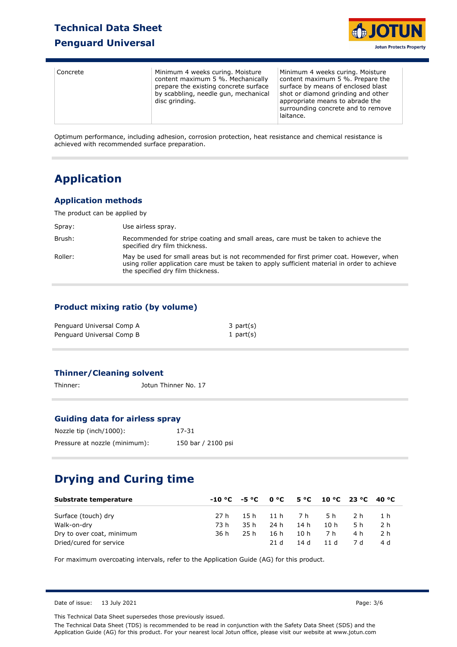### **Technical Data Sheet**

### **Penguard Universal**



| Concrete | Minimum 4 weeks curing. Moisture<br>content maximum 5 %. Mechanically<br>prepare the existing concrete surface<br>by scabbling, needle gun, mechanical<br>disc grinding. | Minimum 4 weeks curing. Moisture<br>content maximum 5 %. Prepare the<br>surface by means of enclosed blast<br>shot or diamond grinding and other<br>appropriate means to abrade the<br>surrounding concrete and to remove<br>laitance. |
|----------|--------------------------------------------------------------------------------------------------------------------------------------------------------------------------|----------------------------------------------------------------------------------------------------------------------------------------------------------------------------------------------------------------------------------------|
|----------|--------------------------------------------------------------------------------------------------------------------------------------------------------------------------|----------------------------------------------------------------------------------------------------------------------------------------------------------------------------------------------------------------------------------------|

Optimum performance, including adhesion, corrosion protection, heat resistance and chemical resistance is achieved with recommended surface preparation.

# **Application**

### **Application methods**

The product can be applied by

| Spray:  | Use airless spray.                                                                                                                                                                                                           |
|---------|------------------------------------------------------------------------------------------------------------------------------------------------------------------------------------------------------------------------------|
| Brush:  | Recommended for stripe coating and small areas, care must be taken to achieve the<br>specified dry film thickness.                                                                                                           |
| Roller: | May be used for small areas but is not recommended for first primer coat. However, when<br>using roller application care must be taken to apply sufficient material in order to achieve<br>the specified dry film thickness. |

### **Product mixing ratio (by volume)**

| Penguard Universal Comp A | 3 part(s)    |
|---------------------------|--------------|
| Penguard Universal Comp B | 1 part $(s)$ |

### **Thinner/Cleaning solvent**

Thinner: Jotun Thinner No. 17

#### **Guiding data for airless spray**

| Nozzle tip (inch/1000):       | 17-31              |
|-------------------------------|--------------------|
| Pressure at nozzle (minimum): | 150 bar / 2100 psi |

# **Drying and Curing time**

| Substrate temperature     |      |      |               |      | $-10\degree$ C $-5\degree$ C $0\degree$ C $5\degree$ C $10\degree$ C $23\degree$ C $40\degree$ C |     |       |
|---------------------------|------|------|---------------|------|--------------------------------------------------------------------------------------------------|-----|-------|
| Surface (touch) dry       | 27 h |      | 15h 11h 7h 5h |      |                                                                                                  |     | 2h 1h |
| Walk-on-dry               | 73 h | 35 h | 24 h          | 14h  | 10 h                                                                                             | 5 h | - 2 h |
| Dry to over coat, minimum | 36 h | 25 h | 16 h          | 10 h | 7 h                                                                                              | 4 h | 2 h   |
| Dried/cured for service   |      |      | 21 d          | 14 d | 11d                                                                                              | 7 d | 4 d   |

For maximum overcoating intervals, refer to the Application Guide (AG) for this product.

Date of issue: 13 July 2021 2021 2021 2021 2021 2021 2022 2021 2022 2022 2022 2022 2022 2022 2022 2022 2022 2022 2022 2022 2022 2022 2022 2022 2022 2022 2022 2022 2022 2022 2022 2022 2022 2022 2022 2022 2022 2022 2022 2022

This Technical Data Sheet supersedes those previously issued.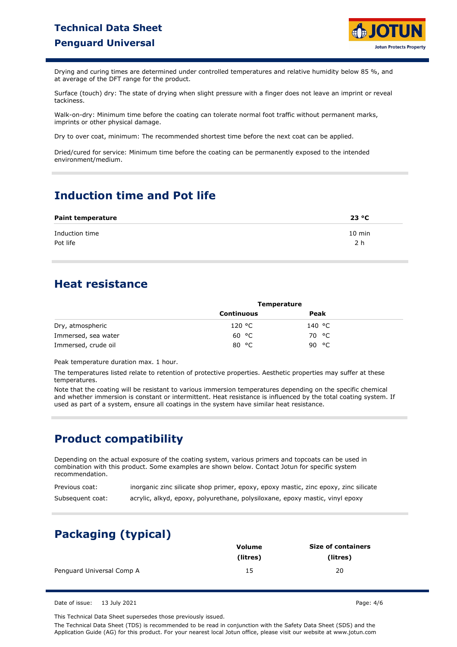# **Technical Data Sheet Penguard Universal**



Drying and curing times are determined under controlled temperatures and relative humidity below 85 %, and at average of the DFT range for the product.

Surface (touch) dry: The state of drying when slight pressure with a finger does not leave an imprint or reveal tackiness.

Walk-on-dry: Minimum time before the coating can tolerate normal foot traffic without permanent marks, imprints or other physical damage.

Dry to over coat, minimum: The recommended shortest time before the next coat can be applied.

Dried/cured for service: Minimum time before the coating can be permanently exposed to the intended environment/medium.

# **Induction time and Pot life**

| <b>Paint temperature</b> | 23 °C            |
|--------------------------|------------------|
| Induction time           | $10 \text{ min}$ |
| Pot life                 | 2 h              |

### **Heat resistance**

|                     | <b>Temperature</b> |        |  |
|---------------------|--------------------|--------|--|
|                     | Continuous         | Peak   |  |
| Dry, atmospheric    | 120 °C             | 140 °C |  |
| Immersed, sea water | 60 °C              | 70 °C  |  |
| Immersed, crude oil | °C<br>80           | 90 °C  |  |

Peak temperature duration max. 1 hour.

The temperatures listed relate to retention of protective properties. Aesthetic properties may suffer at these temperatures.

Note that the coating will be resistant to various immersion temperatures depending on the specific chemical and whether immersion is constant or intermittent. Heat resistance is influenced by the total coating system. If used as part of a system, ensure all coatings in the system have similar heat resistance.

# **Product compatibility**

Depending on the actual exposure of the coating system, various primers and topcoats can be used in combination with this product. Some examples are shown below. Contact Jotun for specific system recommendation.

| Previous coat:   | inorganic zinc silicate shop primer, epoxy, epoxy mastic, zinc epoxy, zinc silicate |
|------------------|-------------------------------------------------------------------------------------|
| Subsequent coat: | acrylic, alkyd, epoxy, polyurethane, polysiloxane, epoxy mastic, vinyl epoxy        |

# **Packaging (typical)**

|                           | Volume   | <b>Size of containers</b> |
|---------------------------|----------|---------------------------|
|                           | (litres) | (litres)                  |
| Penguard Universal Comp A | 15       | 20                        |

Date of issue: 13 July 2021 **Page: 4/6** 

This Technical Data Sheet supersedes those previously issued.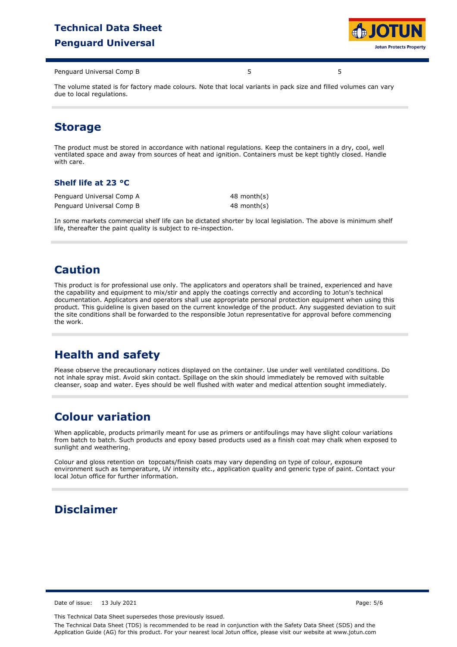# **Technical Data Sheet Penguard Universal**



Penguard Universal Comp B 5 5

The volume stated is for factory made colours. Note that local variants in pack size and filled volumes can vary due to local regulations.

# **Storage**

The product must be stored in accordance with national regulations. Keep the containers in a dry, cool, well ventilated space and away from sources of heat and ignition. Containers must be kept tightly closed. Handle with care.

#### **Shelf life at 23 °C**

Penguard Universal Comp A Penguard Universal Comp B 48 month(s) 48 month(s)

In some markets commercial shelf life can be dictated shorter by local legislation. The above is minimum shelf life, thereafter the paint quality is subject to re-inspection.

# **Caution**

This product is for professional use only. The applicators and operators shall be trained, experienced and have the capability and equipment to mix/stir and apply the coatings correctly and according to Jotun's technical documentation. Applicators and operators shall use appropriate personal protection equipment when using this product. This guideline is given based on the current knowledge of the product. Any suggested deviation to suit the site conditions shall be forwarded to the responsible Jotun representative for approval before commencing the work.

# **Health and safety**

Please observe the precautionary notices displayed on the container. Use under well ventilated conditions. Do not inhale spray mist. Avoid skin contact. Spillage on the skin should immediately be removed with suitable cleanser, soap and water. Eyes should be well flushed with water and medical attention sought immediately.

# **Colour variation**

When applicable, products primarily meant for use as primers or antifoulings may have slight colour variations from batch to batch. Such products and epoxy based products used as a finish coat may chalk when exposed to sunlight and weathering.

Colour and gloss retention on topcoats/finish coats may vary depending on type of colour, exposure environment such as temperature, UV intensity etc., application quality and generic type of paint. Contact your local Jotun office for further information.

# **Disclaimer**

Date of issue: 13 July 2021 Page: 5/6

This Technical Data Sheet supersedes those previously issued.